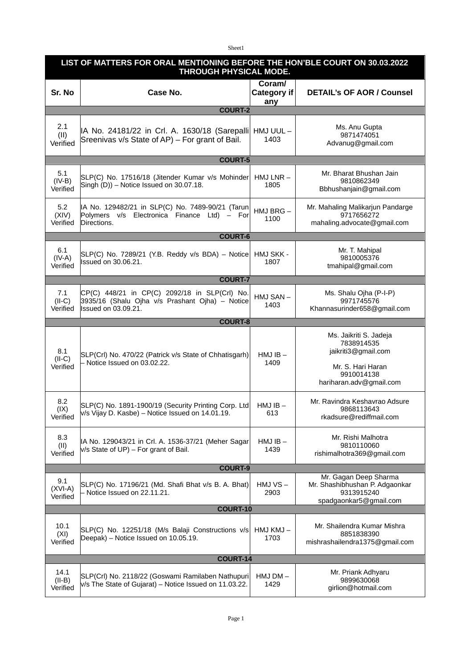Sheet1

| LIST OF MATTERS FOR ORAL MENTIONING BEFORE THE HON'BLE COURT ON 30.03.2022<br>THROUGH PHYSICAL MODE. |                                                                                                                         |                                     |                                                                                                                           |  |  |
|------------------------------------------------------------------------------------------------------|-------------------------------------------------------------------------------------------------------------------------|-------------------------------------|---------------------------------------------------------------------------------------------------------------------------|--|--|
| Sr. No                                                                                               | Case No.                                                                                                                | Coram/<br><b>Category if</b><br>any | <b>DETAIL's OF AOR / Counsel</b>                                                                                          |  |  |
| <b>COURT-2</b>                                                                                       |                                                                                                                         |                                     |                                                                                                                           |  |  |
| 2.1<br>(II)<br>Verified                                                                              | IA No. 24181/22 in Crl. A. 1630/18 (Sarepalli HMJ UUL -<br>Sreenivas v/s State of AP) - For grant of Bail.              | 1403                                | Ms. Anu Gupta<br>9871474051<br>Advanug@gmail.com                                                                          |  |  |
| <b>COURT-5</b>                                                                                       |                                                                                                                         |                                     |                                                                                                                           |  |  |
| 5.1<br>$(IV-B)$<br>Verified                                                                          | SLP(C) No. 17516/18 (Jitender Kumar v/s Mohinder<br>Singh (D)) - Notice Issued on 30.07.18.                             | $HMJ LNR -$<br>1805                 | Mr. Bharat Bhushan Jain<br>9810862349<br>Bbhushanjain@gmail.com                                                           |  |  |
| 5.2<br>(XIV)<br>Verified                                                                             | IA No. 129482/21 in SLP(C) No. 7489-90/21 (Tarun<br>Polymers v/s Electronica Finance Ltd) - For<br>Directions.          | HMJ BRG-<br>1100                    | Mr. Mahaling Malikarjun Pandarge<br>9717656272<br>mahaling.advocate@gmail.com                                             |  |  |
|                                                                                                      | <b>COURT-6</b>                                                                                                          |                                     |                                                                                                                           |  |  |
| 6.1<br>$(IV-A)$<br>Verified                                                                          | $SLP(C)$ No. 7289/21 (Y.B. Reddy v/s BDA) – Notice<br><b>Issued on 30.06.21.</b>                                        | HMJ SKK -<br>1807                   | Mr. T. Mahipal<br>9810005376<br>tmahipal@gmail.com                                                                        |  |  |
| <b>COURT-7</b>                                                                                       |                                                                                                                         |                                     |                                                                                                                           |  |  |
| 7.1<br>$(II-C)$<br>Verified                                                                          | CP(C) 448/21 in CP(C) 2092/18 in SLP(Crl) No.<br>3935/16 (Shalu Ojha v/s Prashant Ojha) - Notice<br>Issued on 03.09.21. | HMJ SAN-<br>1403                    | Ms. Shalu Ojha (P-I-P)<br>9971745576<br>Khannasurinder658@gmail.com                                                       |  |  |
|                                                                                                      | <b>COURT-8</b>                                                                                                          |                                     |                                                                                                                           |  |  |
| 8.1<br>$(II-C)$<br>Verified                                                                          | SLP(Crl) No. 470/22 (Patrick v/s State of Chhatisgarh)<br>- Notice Issued on 03.02.22.                                  | $HMJIB -$<br>1409                   | Ms. Jaikriti S. Jadeja<br>7838914535<br>jaikriti3@gmail.com<br>Mr. S. Hari Haran<br>9910014138<br>hariharan.adv@gmail.com |  |  |
| 8.2<br>(IX)<br>Verified                                                                              | SLP(C) No. 1891-1900/19 (Security Printing Corp. Ltd<br> v/s Vijay D. Kasbe) – Notice Issued on 14.01.19.               | $HMJIB -$<br>613                    | Mr. Ravindra Keshavrao Adsure<br>9868113643<br>rkadsure@rediffmail.com                                                    |  |  |
| 8.3<br>(II)<br>Verified                                                                              | IA No. 129043/21 in Crl. A. 1536-37/21 (Meher Sagar<br>$V/S$ State of UP) – For grant of Bail.                          | $HMJIB -$<br>1439                   | Mr. Rishi Malhotra<br>9810110060<br>rishimalhotra369@gmail.com                                                            |  |  |
| <b>COURT-9</b>                                                                                       |                                                                                                                         |                                     |                                                                                                                           |  |  |
| 9.1<br>$(XVI-A)$<br>Verified                                                                         | SLP(C) No. 17196/21 (Md. Shafi Bhat v/s B. A. Bhat)<br>- Notice Issued on 22.11.21.                                     | $HMJVS -$<br>2903                   | Mr. Gagan Deep Sharma<br>Mr. Shashibhushan P. Adgaonkar<br>9313915240<br>spadgaonkar5@gmail.com                           |  |  |
| <b>COURT-10</b>                                                                                      |                                                                                                                         |                                     |                                                                                                                           |  |  |
| 10.1<br>(XI)<br>Verified                                                                             | SLP(C) No. 12251/18 (M/s Balaji Constructions v/s<br>Deepak) – Notice Issued on 10.05.19.                               | HMJ KMJ-<br>1703                    | Mr. Shailendra Kumar Mishra<br>8851838390<br>mishrashailendra1375@gmail.com                                               |  |  |
| COURT-14                                                                                             |                                                                                                                         |                                     |                                                                                                                           |  |  |
| 14.1<br>$(II-B)$<br>Verified                                                                         | SLP(Crl) No. 2118/22 (Goswami Ramilaben Nathupuri<br>$V/S$ The State of Gujarat) – Notice Issued on 11.03.22.           | $HMJDM -$<br>1429                   | Mr. Priank Adhyaru<br>9899630068<br>girlion@hotmail.com                                                                   |  |  |